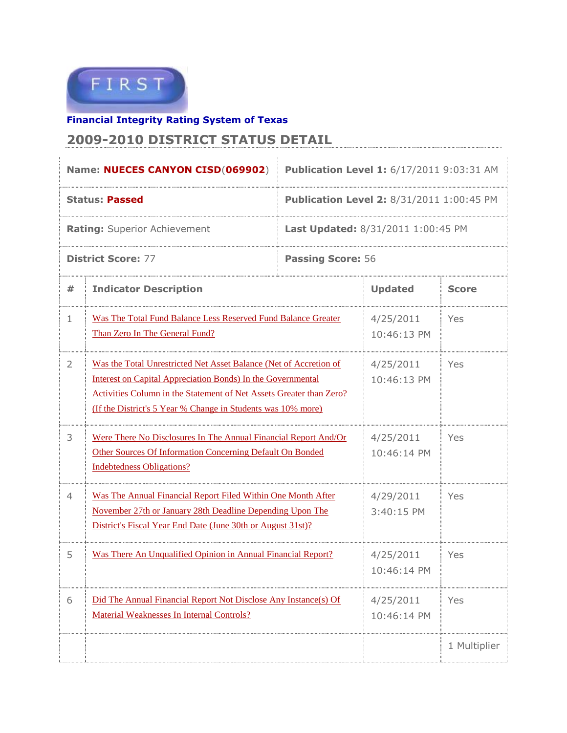

**Financial Integrity Rating System of Texas**

## **2009-2010 DISTRICT STATUS DETAIL**

| Name: NUECES CANYON CISD(069902)    |                                                                                                                                                                                                                                                                         | Publication Level 1: 6/17/2011 9:03:31 AM        |                          |              |  |
|-------------------------------------|-------------------------------------------------------------------------------------------------------------------------------------------------------------------------------------------------------------------------------------------------------------------------|--------------------------------------------------|--------------------------|--------------|--|
| <b>Status: Passed</b>               |                                                                                                                                                                                                                                                                         | <b>Publication Level 2: 8/31/2011 1:00:45 PM</b> |                          |              |  |
| <b>Rating: Superior Achievement</b> |                                                                                                                                                                                                                                                                         | <b>Last Updated: 8/31/2011 1:00:45 PM</b>        |                          |              |  |
| <b>District Score: 77</b>           |                                                                                                                                                                                                                                                                         | <b>Passing Score: 56</b>                         |                          |              |  |
| #                                   | <b>Indicator Description</b>                                                                                                                                                                                                                                            | <b>Updated</b>                                   | <b>Score</b>             |              |  |
| 1                                   | Was The Total Fund Balance Less Reserved Fund Balance Greater<br>Than Zero In The General Fund?                                                                                                                                                                         |                                                  | 4/25/2011<br>10:46:13 PM | Yes          |  |
| 2                                   | Was the Total Unrestricted Net Asset Balance (Net of Accretion of<br>Interest on Capital Appreciation Bonds) In the Governmental<br>Activities Column in the Statement of Net Assets Greater than Zero?<br>(If the District's 5 Year % Change in Students was 10% more) |                                                  | 4/25/2011<br>10:46:13 PM | Yes          |  |
| 3                                   | Were There No Disclosures In The Annual Financial Report And/Or<br>Other Sources Of Information Concerning Default On Bonded<br><b>Indebtedness Obligations?</b>                                                                                                        | 4/25/2011<br>10:46:14 PM                         | Yes                      |              |  |
| 4                                   | Was The Annual Financial Report Filed Within One Month After<br>November 27th or January 28th Deadline Depending Upon The<br>District's Fiscal Year End Date (June 30th or August 31st)?                                                                                | 4/29/2011<br>3:40:15 PM                          | Yes                      |              |  |
| 5                                   | Was There An Unqualified Opinion in Annual Financial Report?                                                                                                                                                                                                            | 4/25/2011<br>10:46:14 PM                         | Yes                      |              |  |
| 6                                   | Did The Annual Financial Report Not Disclose Any Instance(s) Of<br>Material Weaknesses In Internal Controls?                                                                                                                                                            |                                                  | 4/25/2011<br>10:46:14 PM | Yes          |  |
|                                     |                                                                                                                                                                                                                                                                         |                                                  |                          | 1 Multiplier |  |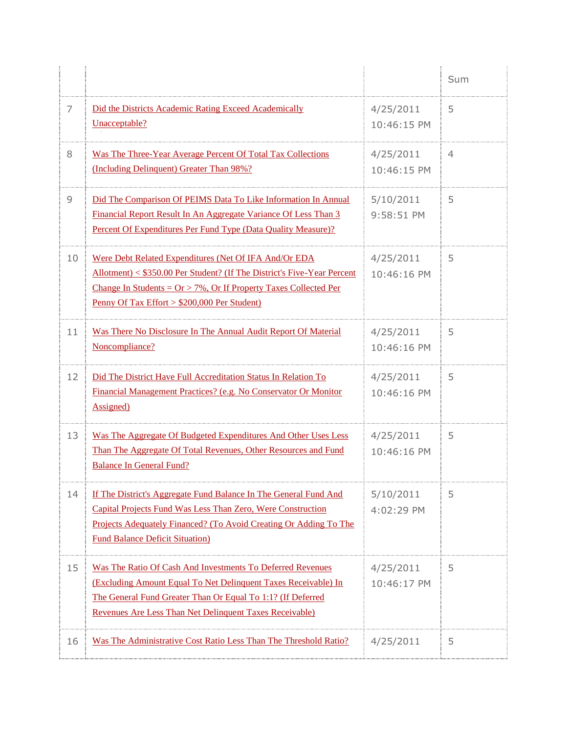|    |                                                                                                                                                                                                                                                                                 |                          | Sum |
|----|---------------------------------------------------------------------------------------------------------------------------------------------------------------------------------------------------------------------------------------------------------------------------------|--------------------------|-----|
| 7  | Did the Districts Academic Rating Exceed Academically<br>Unacceptable?                                                                                                                                                                                                          | 4/25/2011<br>10:46:15 PM | 5   |
| 8  | Was The Three-Year Average Percent Of Total Tax Collections<br>(Including Delinquent) Greater Than 98%?                                                                                                                                                                         | 4/25/2011<br>10:46:15 PM | 4   |
| 9  | Did The Comparison Of PEIMS Data To Like Information In Annual<br>Financial Report Result In An Aggregate Variance Of Less Than 3<br>Percent Of Expenditures Per Fund Type (Data Quality Measure)?                                                                              | 5/10/2011<br>9:58:51 PM  | 5   |
| 10 | Were Debt Related Expenditures (Net Of IFA And/Or EDA<br>Allotment) < \$350.00 Per Student? (If The District's Five-Year Percent<br>Change In Students = $Or > 7\%$ , Or If Property Taxes Collected Per<br><u>Penny Of Tax Effort &gt; <math>\$200,000</math> Per Student)</u> | 4/25/2011<br>10:46:16 PM | 5   |
| 11 | Was There No Disclosure In The Annual Audit Report Of Material<br>Noncompliance?                                                                                                                                                                                                | 4/25/2011<br>10:46:16 PM | 5   |
| 12 | Did The District Have Full Accreditation Status In Relation To<br>Financial Management Practices? (e.g. No Conservator Or Monitor<br>Assigned)                                                                                                                                  | 4/25/2011<br>10:46:16 PM | 5   |
| 13 | Was The Aggregate Of Budgeted Expenditures And Other Uses Less<br>Than The Aggregate Of Total Revenues, Other Resources and Fund<br><b>Balance In General Fund?</b>                                                                                                             | 4/25/2011<br>10:46:16 PM | 5   |
| 14 | If The District's Aggregate Fund Balance In The General Fund And<br>Capital Projects Fund Was Less Than Zero, Were Construction<br>Projects Adequately Financed? (To Avoid Creating Or Adding To The<br><b>Fund Balance Deficit Situation)</b>                                  | 5/10/2011<br>4:02:29 PM  | 5   |
| 15 | Was The Ratio Of Cash And Investments To Deferred Revenues<br>(Excluding Amount Equal To Net Delinquent Taxes Receivable) In<br>The General Fund Greater Than Or Equal To 1:1? (If Deferred<br>Revenues Are Less Than Net Delinquent Taxes Receivable)                          | 4/25/2011<br>10:46:17 PM | 5   |
| 16 | Was The Administrative Cost Ratio Less Than The Threshold Ratio?                                                                                                                                                                                                                | 4/25/2011                | 5   |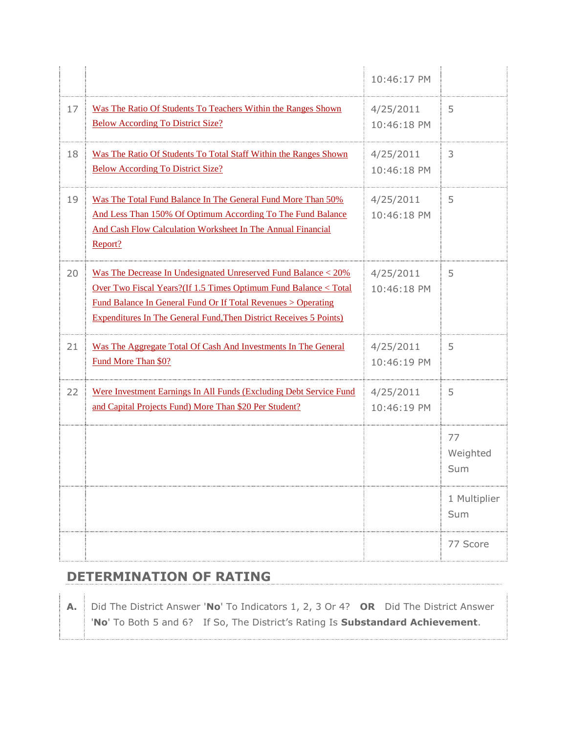|    |                                                                                                                                                                                                                                                                                                       | 10:46:17 PM              |                       |
|----|-------------------------------------------------------------------------------------------------------------------------------------------------------------------------------------------------------------------------------------------------------------------------------------------------------|--------------------------|-----------------------|
| 17 | Was The Ratio Of Students To Teachers Within the Ranges Shown<br><b>Below According To District Size?</b>                                                                                                                                                                                             | 4/25/2011<br>10:46:18 PM | 5                     |
| 18 | Was The Ratio Of Students To Total Staff Within the Ranges Shown<br><b>Below According To District Size?</b>                                                                                                                                                                                          | 4/25/2011<br>10:46:18 PM | 3                     |
| 19 | Was The Total Fund Balance In The General Fund More Than 50%<br>And Less Than 150% Of Optimum According To The Fund Balance<br>And Cash Flow Calculation Worksheet In The Annual Financial<br>Report?                                                                                                 | 4/25/2011<br>10:46:18 PM | 5                     |
| 20 | Was The Decrease In Undesignated Unreserved Fund Balance < 20%<br><u>Over Two Fiscal Years? (If 1.5 Times Optimum Fund Balance &lt; Total</u><br><u>Fund Balance In General Fund Or If Total Revenues &gt; Operating</u><br><b>Expenditures In The General Fund, Then District Receives 5 Points)</b> | 4/25/2011<br>10:46:18 PM | 5                     |
| 21 | Was The Aggregate Total Of Cash And Investments In The General<br>Fund More Than \$0?                                                                                                                                                                                                                 | 4/25/2011<br>10:46:19 PM | 5                     |
| 22 | Were Investment Earnings In All Funds (Excluding Debt Service Fund<br>and Capital Projects Fund) More Than \$20 Per Student?                                                                                                                                                                          | 4/25/2011<br>10:46:19 PM | 5                     |
|    |                                                                                                                                                                                                                                                                                                       |                          | 77<br>Weighted<br>Sum |
|    |                                                                                                                                                                                                                                                                                                       |                          | 1 Multiplier<br>Sum   |
|    |                                                                                                                                                                                                                                                                                                       |                          | 77 Score              |

## **DETERMINATION OF RATING**

**A.** Did The District Answer '**No**' To Indicators 1, 2, 3 Or 4? **OR** Did The District Answer '**No**' To Both 5 and 6? If So, The District's Rating Is **Substandard Achievement**.